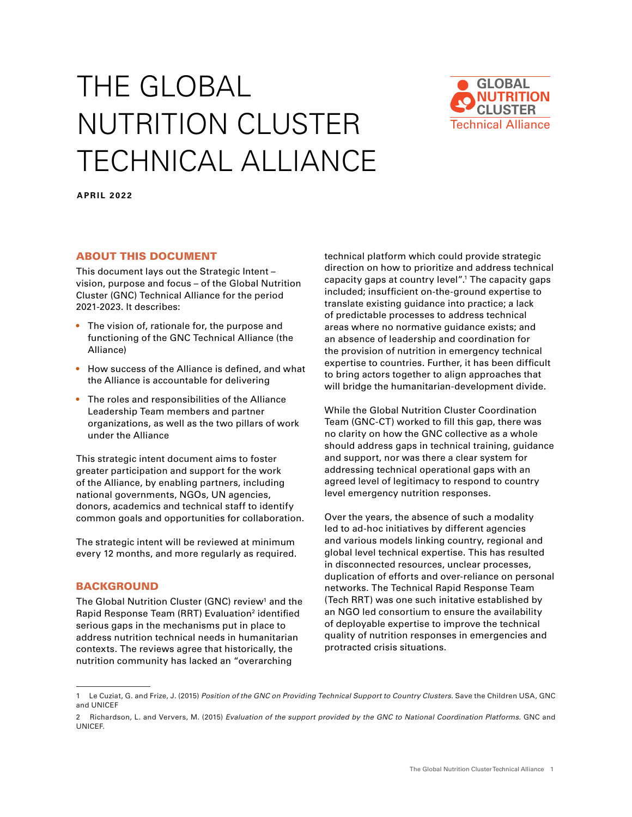# THE GLOBAL NUTRITION CLUSTER TECHNICAL ALLIANCE



**APRIL 2022**

# ABOUT THIS DOCUMENT

This document lays out the Strategic Intent – vision, purpose and focus – of the Global Nutrition Cluster (GNC) Technical Alliance for the period 2021-2023. It describes:

- **•** The vision of, rationale for, the purpose and functioning of the GNC Technical Alliance (the Alliance)
- **•** How success of the Alliance is defined, and what the Alliance is accountable for delivering
- **•** The roles and responsibilities of the Alliance Leadership Team members and partner organizations, as well as the two pillars of work under the Alliance

This strategic intent document aims to foster greater participation and support for the work of the Alliance, by enabling partners, including national governments, NGOs, UN agencies, donors, academics and technical staff to identify common goals and opportunities for collaboration.

The strategic intent will be reviewed at minimum every 12 months, and more regularly as required.

#### BACKGROUND

The Global Nutrition Cluster (GNC) review<sup>1</sup> and the Rapid Response Team (RRT) Evaluation<sup>2</sup> identified serious gaps in the mechanisms put in place to address nutrition technical needs in humanitarian contexts. The reviews agree that historically, the nutrition community has lacked an "overarching

technical platform which could provide strategic direction on how to prioritize and address technical capacity gaps at country level".1 The capacity gaps included; insufficient on-the-ground expertise to translate existing guidance into practice; a lack of predictable processes to address technical areas where no normative guidance exists; and an absence of leadership and coordination for the provision of nutrition in emergency technical expertise to countries. Further, it has been difficult to bring actors together to align approaches that will bridge the humanitarian-development divide.

While the Global Nutrition Cluster Coordination Team (GNC-CT) worked to fill this gap, there was no clarity on how the GNC collective as a whole should address gaps in technical training, guidance and support, nor was there a clear system for addressing technical operational gaps with an agreed level of legitimacy to respond to country level emergency nutrition responses.

Over the years, the absence of such a modality led to ad-hoc initiatives by different agencies and various models linking country, regional and global level technical expertise. This has resulted in disconnected resources, unclear processes, duplication of efforts and over-reliance on personal networks. The Technical Rapid Response Team (Tech RRT) was one such initative established by an NGO led consortium to ensure the availability of deployable expertise to improve the technical quality of nutrition responses in emergencies and protracted crisis situations.

<sup>1</sup> Le Cuziat, G. and Frize, J. (2015) *Position of the GNC on Providing Technical Support to Country Clusters.* Save the Children USA, GNC and UNICEF

<sup>2</sup> Richardson, L. and Ververs, M. (2015) *Evaluation of the support provided by the GNC to National Coordination Platforms.* GNC and UNICEF.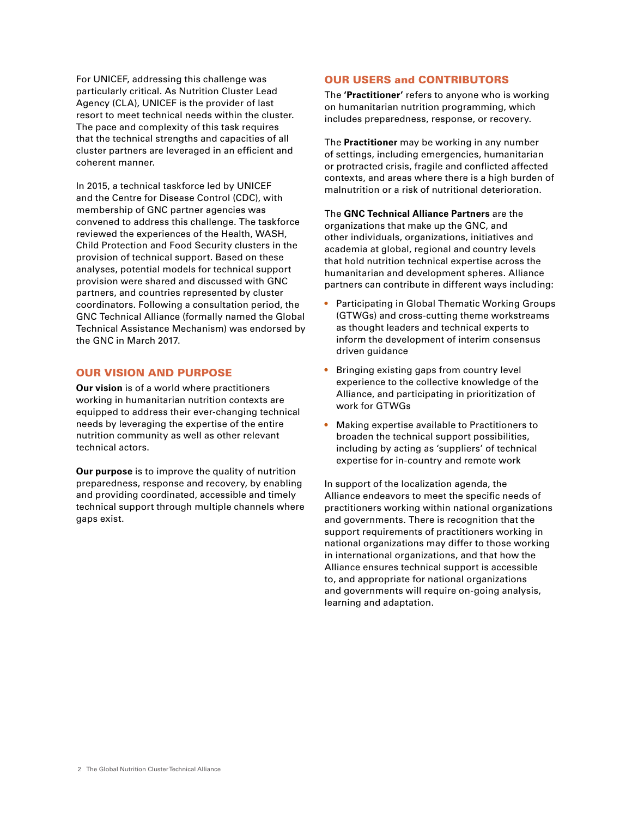For UNICEF, addressing this challenge was particularly critical. As Nutrition Cluster Lead Agency (CLA), UNICEF is the provider of last resort to meet technical needs within the cluster. The pace and complexity of this task requires that the technical strengths and capacities of all cluster partners are leveraged in an efficient and coherent manner.

In 2015, a technical taskforce led by UNICEF and the Centre for Disease Control (CDC), with membership of GNC partner agencies was convened to address this challenge. The taskforce reviewed the experiences of the Health, WASH, Child Protection and Food Security clusters in the provision of technical support. Based on these analyses, potential models for technical support provision were shared and discussed with GNC partners, and countries represented by cluster coordinators. Following a consultation period, the GNC Technical Alliance (formally named the Global Technical Assistance Mechanism) was endorsed by the GNC in March 2017.

# OUR VISION AND PURPOSE

**Our vision** is of a world where practitioners working in humanitarian nutrition contexts are equipped to address their ever-changing technical needs by leveraging the expertise of the entire nutrition community as well as other relevant technical actors.

**Our purpose** is to improve the quality of nutrition preparedness, response and recovery, by enabling and providing coordinated, accessible and timely technical support through multiple channels where gaps exist.

# OUR USERS and CONTRIBUTORS

The **'Practitioner'** refers to anyone who is working on humanitarian nutrition programming, which includes preparedness, response, or recovery.

The **Practitioner** may be working in any number of settings, including emergencies, humanitarian or protracted crisis, fragile and conflicted affected contexts, and areas where there is a high burden of malnutrition or a risk of nutritional deterioration.

The **GNC Technical Alliance Partners** are the organizations that make up the GNC, and other individuals, organizations, initiatives and academia at global, regional and country levels that hold nutrition technical expertise across the humanitarian and development spheres. Alliance partners can contribute in different ways including:

- **•** Participating in Global Thematic Working Groups (GTWGs) and cross-cutting theme workstreams as thought leaders and technical experts to inform the development of interim consensus driven guidance
- **•** Bringing existing gaps from country level experience to the collective knowledge of the Alliance, and participating in prioritization of work for GTWGs
- **•** Making expertise available to Practitioners to broaden the technical support possibilities, including by acting as 'suppliers' of technical expertise for in-country and remote work

In support of the localization agenda, the Alliance endeavors to meet the specific needs of practitioners working within national organizations and governments. There is recognition that the support requirements of practitioners working in national organizations may differ to those working in international organizations, and that how the Alliance ensures technical support is accessible to, and appropriate for national organizations and governments will require on-going analysis, learning and adaptation.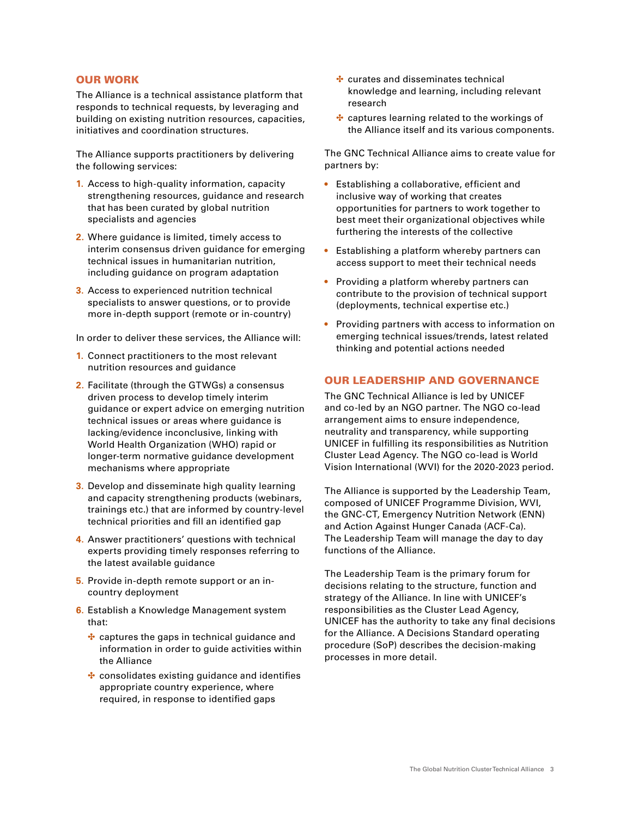# OUR WORK

The Alliance is a technical assistance platform that responds to technical requests, by leveraging and building on existing nutrition resources, capacities, initiatives and coordination structures.

The Alliance supports practitioners by delivering the following services:

- **1.** Access to high-quality information, capacity strengthening resources, guidance and research that has been curated by global nutrition specialists and agencies
- **2.** Where guidance is limited, timely access to interim consensus driven guidance for emerging technical issues in humanitarian nutrition, including guidance on program adaptation
- **3.** Access to experienced nutrition technical specialists to answer questions, or to provide more in-depth support (remote or in-country)

In order to deliver these services, the Alliance will:

- **1.** Connect practitioners to the most relevant nutrition resources and guidance
- **2.** Facilitate (through the GTWGs) a consensus driven process to develop timely interim guidance or expert advice on emerging nutrition technical issues or areas where guidance is lacking/evidence inconclusive, linking with World Health Organization (WHO) rapid or longer-term normative guidance development mechanisms where appropriate
- **3.** Develop and disseminate high quality learning and capacity strengthening products (webinars, trainings etc.) that are informed by country-level technical priorities and fill an identified gap
- **4.** Answer practitioners' questions with technical experts providing timely responses referring to the latest available guidance
- **5.** Provide in-depth remote support or an incountry deployment
- **6.** Establish a Knowledge Management system that:
	- $\cdot$  captures the gaps in technical guidance and information in order to guide activities within the Alliance
	- \* consolidates existing guidance and identifies appropriate country experience, where required, in response to identified gaps
- $\cdot$  curates and disseminates technical knowledge and learning, including relevant research
- \* captures learning related to the workings of the Alliance itself and its various components.

The GNC Technical Alliance aims to create value for partners by:

- **•** Establishing a collaborative, efficient and inclusive way of working that creates opportunities for partners to work together to best meet their organizational objectives while furthering the interests of the collective
- **•** Establishing a platform whereby partners can access support to meet their technical needs
- **•** Providing a platform whereby partners can contribute to the provision of technical support (deployments, technical expertise etc.)
- **•** Providing partners with access to information on emerging technical issues/trends, latest related thinking and potential actions needed

## OUR LEADERSHIP AND GOVERNANCE

The GNC Technical Alliance is led by UNICEF and co-led by an NGO partner. The NGO co-lead arrangement aims to ensure independence, neutrality and transparency, while supporting UNICEF in fulfilling its responsibilities as Nutrition Cluster Lead Agency. The NGO co-lead is World Vision International (WVI) for the 2020-2023 period.

The Alliance is supported by the Leadership Team, composed of UNICEF Programme Division, WVI, the GNC-CT, Emergency Nutrition Network (ENN) and Action Against Hunger Canada (ACF-Ca). The Leadership Team will manage the day to day functions of the Alliance.

The Leadership Team is the primary forum for decisions relating to the structure, function and strategy of the Alliance. In line with UNICEF's responsibilities as the Cluster Lead Agency, UNICEF has the authority to take any final decisions for the Alliance. A Decisions Standard operating procedure (SoP) describes the decision-making processes in more detail.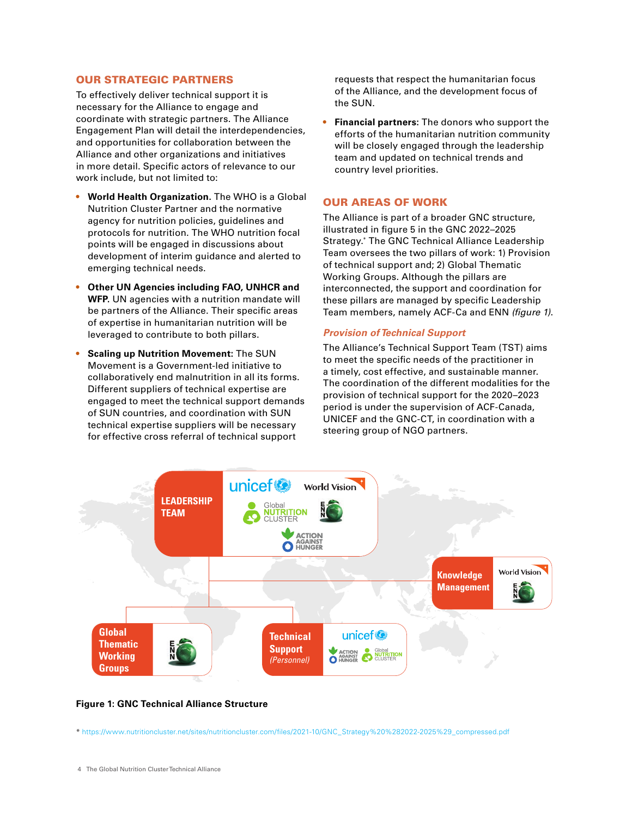#### OUR STRATEGIC PARTNERS

To effectively deliver technical support it is necessary for the Alliance to engage and coordinate with strategic partners. The Alliance Engagement Plan will detail the interdependencies, and opportunities for collaboration between the Alliance and other organizations and initiatives in more detail. Specific actors of relevance to our work include, but not limited to:

- **• World Health Organization.** The WHO is a Global Nutrition Cluster Partner and the normative agency for nutrition policies, guidelines and protocols for nutrition. The WHO nutrition focal points will be engaged in discussions about development of interim guidance and alerted to emerging technical needs.
- **• Other UN Agencies including FAO, UNHCR and WFP.** UN agencies with a nutrition mandate will be partners of the Alliance. Their specific areas of expertise in humanitarian nutrition will be leveraged to contribute to both pillars.
- **• Scaling up Nutrition Movement:** The SUN Movement is a Government-led initiative to collaboratively end malnutrition in all its forms. Different suppliers of technical expertise are engaged to meet the technical support demands of SUN countries, and coordination with SUN technical expertise suppliers will be necessary for effective cross referral of technical support

requests that respect the humanitarian focus of the Alliance, and the development focus of the SUN.

**• Financial partners:** The donors who support the efforts of the humanitarian nutrition community will be closely engaged through the leadership team and updated on technical trends and country level priorities.

## OUR AREAS OF WORK

The Alliance is part of a broader GNC structure, illustrated in figure 5 in the GNC 2022–2025 Strategy.\* The GNC Technical Alliance Leadership Team oversees the two pillars of work: 1) Provision of technical support and; 2) Global Thematic Working Groups. Although the pillars are interconnected, the support and coordination for these pillars are managed by specific Leadership Team members, namely ACF-Ca and ENN *(figure 1)*.

#### *Provision of Technical Support*

The Alliance's Technical Support Team (TST) aims to meet the specific needs of the practitioner in a timely, cost effective, and sustainable manner. The coordination of the different modalities for the provision of technical support for the 2020–2023 period is under the supervision of ACF-Canada, UNICEF and the GNC-CT, in coordination with a steering group of NGO partners.



**Figure 1: GNC Technical Alliance Structure**

\* [https://www.nutritioncluster.net/sites/nutritioncluster.com/files/2021-10/GNC\\_Strategy%20%282022-2025%29\\_compressed.pdf](https://www.nutritioncluster.net/sites/nutritioncluster.com/files/2021-10/GNC_Strategy%20%282022-2025%29_compressed.pdf)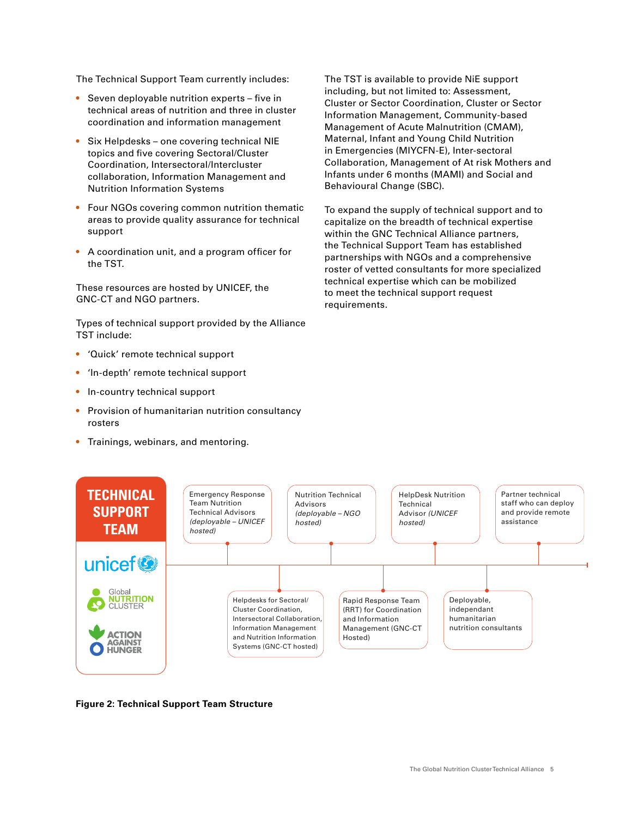The Technical Support Team currently includes:

- **•** Seven deployable nutrition experts five in technical areas of nutrition and three in cluster coordination and information management
- **•** Six Helpdesks one covering technical NIE topics and five covering Sectoral/Cluster Coordination, Intersectoral/Intercluster collaboration, Information Management and Nutrition Information Systems
- **•** Four NGOs covering common nutrition thematic areas to provide quality assurance for technical support
- **•** A coordination unit, and a program officer for the TST.

These resources are hosted by UNICEF, the GNC-CT and NGO partners.

Types of technical support provided by the Alliance TST include:

- **•** 'Quick' remote technical support
- **•** 'In-depth' remote technical support
- **•** In-country technical support
- **•** Provision of humanitarian nutrition consultancy rosters
- **•** Trainings, webinars, and mentoring.

The TST is available to provide NiE support including, but not limited to: Assessment, Cluster or Sector Coordination, Cluster or Sector Information Management, Community-based Management of Acute Malnutrition (CMAM), Maternal, Infant and Young Child Nutrition in Emergencies (MIYCFN-E), Inter-sectoral Collaboration, Management of At risk Mothers and Infants under 6 months (MAMI) and Social and Behavioural Change (SBC).

To expand the supply of technical support and to capitalize on the breadth of technical expertise within the GNC Technical Alliance partners, the Technical Support Team has established partnerships with NGOs and a comprehensive roster of vetted consultants for more specialized technical expertise which can be mobilized to meet the technical support request requirements.



**Figure 2: Technical Support Team Structure**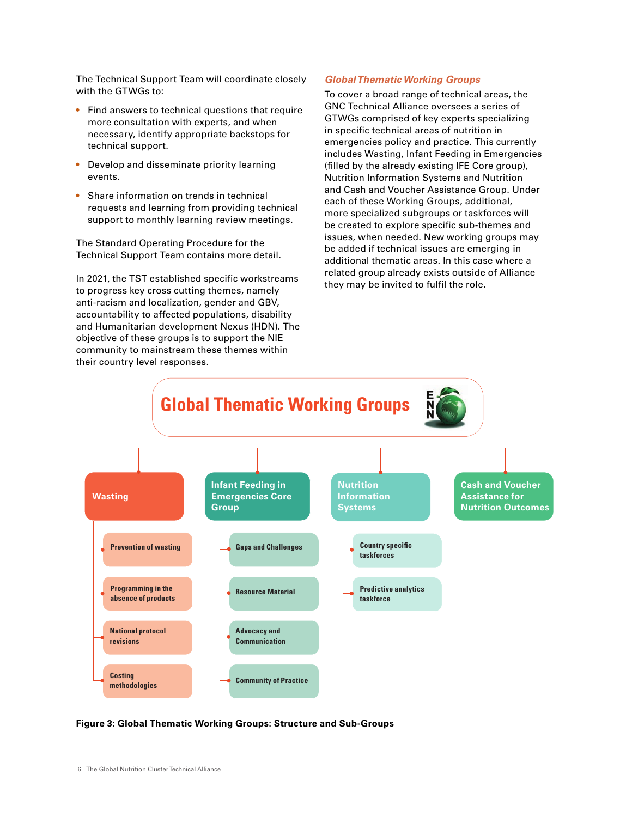The Technical Support Team will coordinate closely with the GTWGs to:

- **•** Find answers to technical questions that require more consultation with experts, and when necessary, identify appropriate backstops for technical support.
- **•** Develop and disseminate priority learning events.
- **•** Share information on trends in technical requests and learning from providing technical support to monthly learning review meetings.

The Standard Operating Procedure for the Technical Support Team contains more detail.

In 2021, the TST established specific workstreams to progress key cross cutting themes, namely anti-racism and localization, gender and GBV, accountability to affected populations, disability and Humanitarian development Nexus (HDN). The objective of these groups is to support the NIE community to mainstream these themes within their country level responses.

#### *Global Thematic Working Groups*

To cover a broad range of technical areas, the GNC Technical Alliance oversees a series of GTWGs comprised of key experts specializing in specific technical areas of nutrition in emergencies policy and practice. This currently includes Wasting, Infant Feeding in Emergencies (filled by the already existing IFE Core group), Nutrition Information Systems and Nutrition and Cash and Voucher Assistance Group. Under each of these Working Groups, additional, more specialized subgroups or taskforces will be created to explore specific sub-themes and issues, when needed. New working groups may be added if technical issues are emerging in additional thematic areas. In this case where a related group already exists outside of Alliance they may be invited to fulfil the role.



**Figure 3: Global Thematic Working Groups: Structure and Sub-Groups**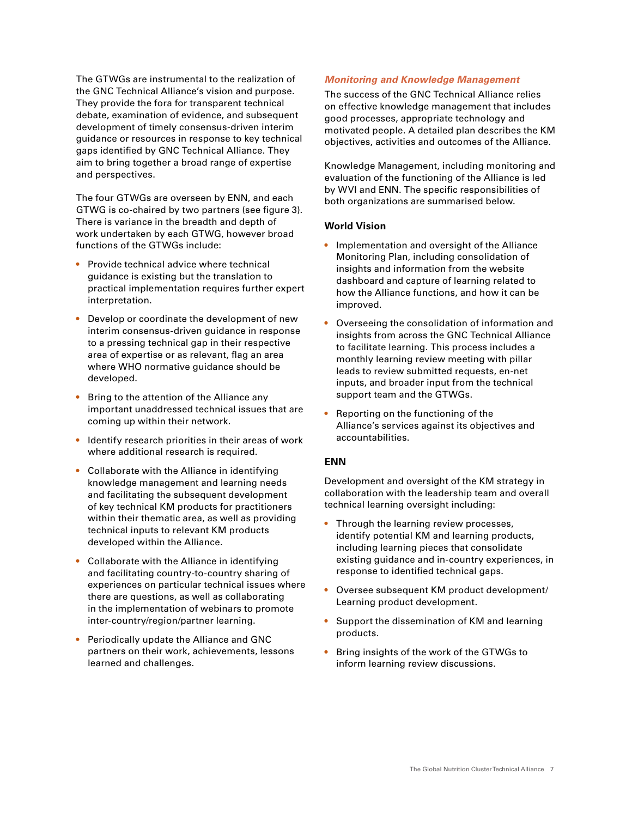The GTWGs are instrumental to the realization of the GNC Technical Alliance's vision and purpose. They provide the fora for transparent technical debate, examination of evidence, and subsequent development of timely consensus-driven interim guidance or resources in response to key technical gaps identified by GNC Technical Alliance. They aim to bring together a broad range of expertise and perspectives.

The four GTWGs are overseen by ENN, and each GTWG is co-chaired by two partners (see figure 3). There is variance in the breadth and depth of work undertaken by each GTWG, however broad functions of the GTWGs include:

- **•** Provide technical advice where technical guidance is existing but the translation to practical implementation requires further expert interpretation.
- **•** Develop or coordinate the development of new interim consensus-driven guidance in response to a pressing technical gap in their respective area of expertise or as relevant, flag an area where WHO normative guidance should be developed.
- **•** Bring to the attention of the Alliance any important unaddressed technical issues that are coming up within their network.
- **•** Identify research priorities in their areas of work where additional research is required.
- **•** Collaborate with the Alliance in identifying knowledge management and learning needs and facilitating the subsequent development of key technical KM products for practitioners within their thematic area, as well as providing technical inputs to relevant KM products developed within the Alliance.
- **•** Collaborate with the Alliance in identifying and facilitating country-to-country sharing of experiences on particular technical issues where there are questions, as well as collaborating in the implementation of webinars to promote inter-country/region/partner learning.
- **•** Periodically update the Alliance and GNC partners on their work, achievements, lessons learned and challenges.

# *Monitoring and Knowledge Management*

The success of the GNC Technical Alliance relies on effective knowledge management that includes good processes, appropriate technology and motivated people. A detailed plan describes the KM objectives, activities and outcomes of the Alliance.

Knowledge Management, including monitoring and evaluation of the functioning of the Alliance is led by WVI and ENN. The specific responsibilities of both organizations are summarised below.

# **World Vision**

- **•** Implementation and oversight of the Alliance Monitoring Plan, including consolidation of insights and information from the website dashboard and capture of learning related to how the Alliance functions, and how it can be improved.
- **•** Overseeing the consolidation of information and insights from across the GNC Technical Alliance to facilitate learning. This process includes a monthly learning review meeting with pillar leads to review submitted requests, en-net inputs, and broader input from the technical support team and the GTWGs.
- **•** Reporting on the functioning of the Alliance's services against its objectives and accountabilities.

#### **ENN**

Development and oversight of the KM strategy in collaboration with the leadership team and overall technical learning oversight including:

- **•** Through the learning review processes, identify potential KM and learning products, including learning pieces that consolidate existing guidance and in-country experiences, in response to identified technical gaps.
- **•** Oversee subsequent KM product development/ Learning product development.
- **•** Support the dissemination of KM and learning products.
- **•** Bring insights of the work of the GTWGs to inform learning review discussions.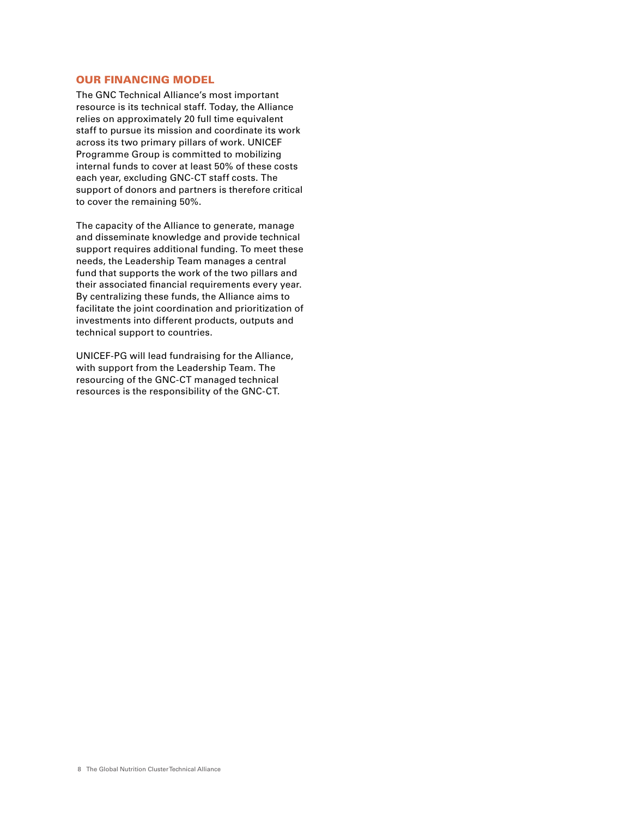# OUR FINANCING MODEL

The GNC Technical Alliance's most important resource is its technical staff. Today, the Alliance relies on approximately 20 full time equivalent staff to pursue its mission and coordinate its work across its two primary pillars of work. UNICEF Programme Group is committed to mobilizing internal funds to cover at least 50% of these costs each year, excluding GNC-CT staff costs. The support of donors and partners is therefore critical to cover the remaining 50%.

The capacity of the Alliance to generate, manage and disseminate knowledge and provide technical support requires additional funding. To meet these needs, the Leadership Team manages a central fund that supports the work of the two pillars and their associated financial requirements every year. By centralizing these funds, the Alliance aims to facilitate the joint coordination and prioritization of investments into different products, outputs and technical support to countries.

UNICEF-PG will lead fundraising for the Alliance, with support from the Leadership Team. The resourcing of the GNC-CT managed technical resources is the responsibility of the GNC-CT.